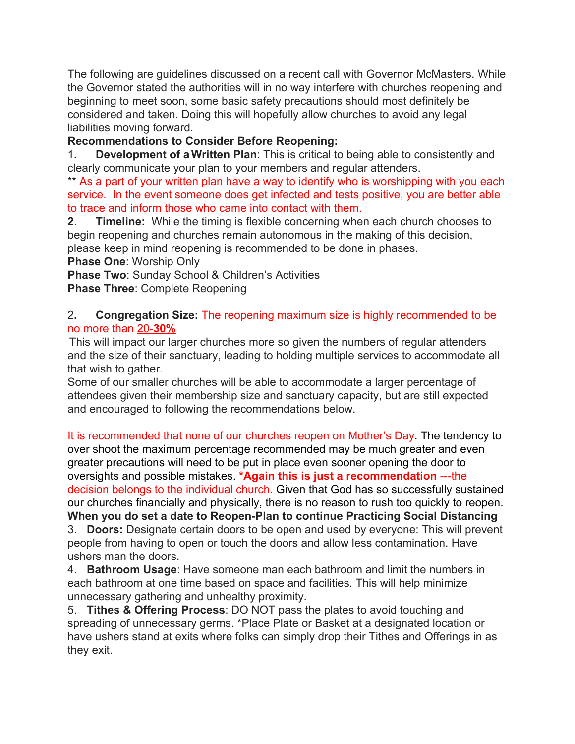The following are guidelines discussed on a recent call with Governor McMasters. While the Governor stated the authorities will in no way interfere with churches reopening and beginning to meet soon, some basic safety precautions should most definitely be considered and taken. Doing this will hopefully allow churches to avoid any legal liabilities moving forward.

## **Recommendations to Consider Before Reopening:**

1**. Development of a Written Plan**: This is critical to being able to consistently and clearly communicate your plan to your members and regular attenders.

\*\* As a part of your written plan have a way to identify who is worshipping with you each service. In the event someone does get infected and tests positive, you are better able to trace and inform those who came into contact with them.

**2**. **Timeline:** While the timing is flexible concerning when each church chooses to begin reopening and churches remain autonomous in the making of this decision, please keep in mind reopening is recommended to be done in phases.

**Phase One**: Worship Only

**Phase Two**: Sunday School & Children's Activities

**Phase Three**: Complete Reopening

## 2**. Congregation Size:** The reopening maximum size is highly recommended to be no more than 20-**30%**

This will impact our larger churches more so given the numbers of regular attenders and the size of their sanctuary, leading to holding multiple services to accommodate all that wish to gather.

Some of our smaller churches will be able to accommodate a larger percentage of attendees given their membership size and sanctuary capacity, but are still expected and encouraged to following the recommendations below.

It is recommended that none of our churches reopen on Mother's Day. The tendency to over shoot the maximum percentage recommended may be much greater and even greater precautions will need to be put in place even sooner opening the door to oversights and possible mistakes. **\*Again this is just a recommendation** ---the decision belongs to the individual church**.** Given that God has so successfully sustained our churches financially and physically, there is no reason to rush too quickly to reopen. **When you do set a date to Reopen-Plan to continue Practicing Social Distancing**

3. **Doors:** Designate certain doors to be open and used by everyone: This will prevent people from having to open or touch the doors and allow less contamination. Have ushers man the doors.

4. **Bathroom Usage**: Have someone man each bathroom and limit the numbers in each bathroom at one time based on space and facilities. This will help minimize unnecessary gathering and unhealthy proximity.

5. **Tithes & Offering Process**: DO NOT pass the plates to avoid touching and spreading of unnecessary germs. \*Place Plate or Basket at a designated location or have ushers stand at exits where folks can simply drop their Tithes and Offerings in as they exit.